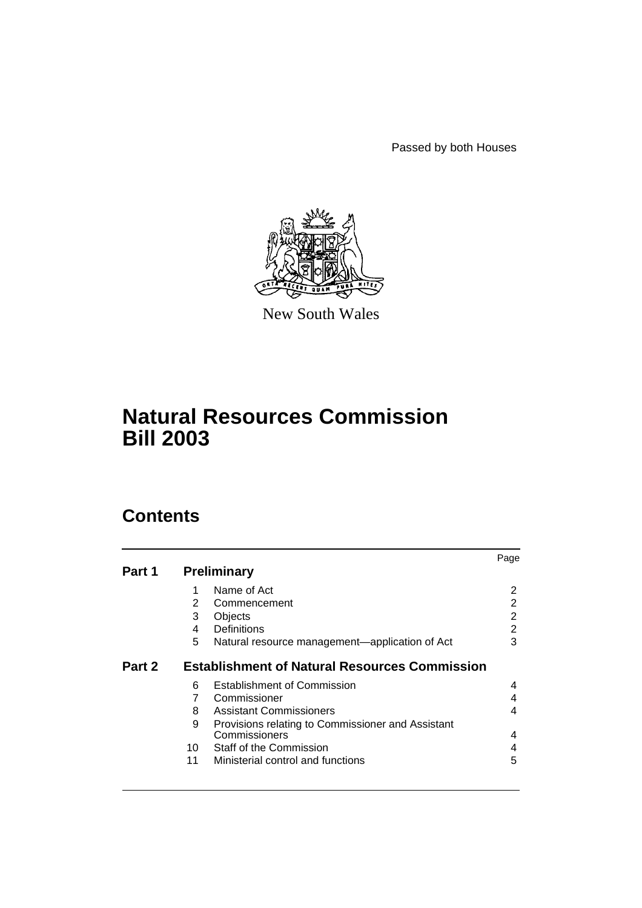Passed by both Houses



New South Wales

# **Natural Resources Commission Bill 2003**

# **Contents**

|        |                                                      |                                                   | Page |  |  |
|--------|------------------------------------------------------|---------------------------------------------------|------|--|--|
| Part 1 |                                                      | <b>Preliminary</b>                                |      |  |  |
|        | 1                                                    | Name of Act                                       | 2    |  |  |
|        | 2                                                    | Commencement                                      | 2    |  |  |
|        | 3                                                    | Objects                                           | 2    |  |  |
|        | 4                                                    | Definitions                                       | 2    |  |  |
|        | 5                                                    | Natural resource management-application of Act    | 3    |  |  |
| Part 2 | <b>Establishment of Natural Resources Commission</b> |                                                   |      |  |  |
|        | 6                                                    | <b>Establishment of Commission</b>                | 4    |  |  |
|        | $\overline{7}$                                       | Commissioner                                      | 4    |  |  |
|        | 8                                                    | <b>Assistant Commissioners</b>                    | 4    |  |  |
|        | 9                                                    | Provisions relating to Commissioner and Assistant |      |  |  |
|        |                                                      | Commissioners                                     | 4    |  |  |
|        |                                                      | 10 Staff of the Commission                        | 4    |  |  |
|        | 11                                                   | Ministerial control and functions                 | 5    |  |  |
|        |                                                      |                                                   |      |  |  |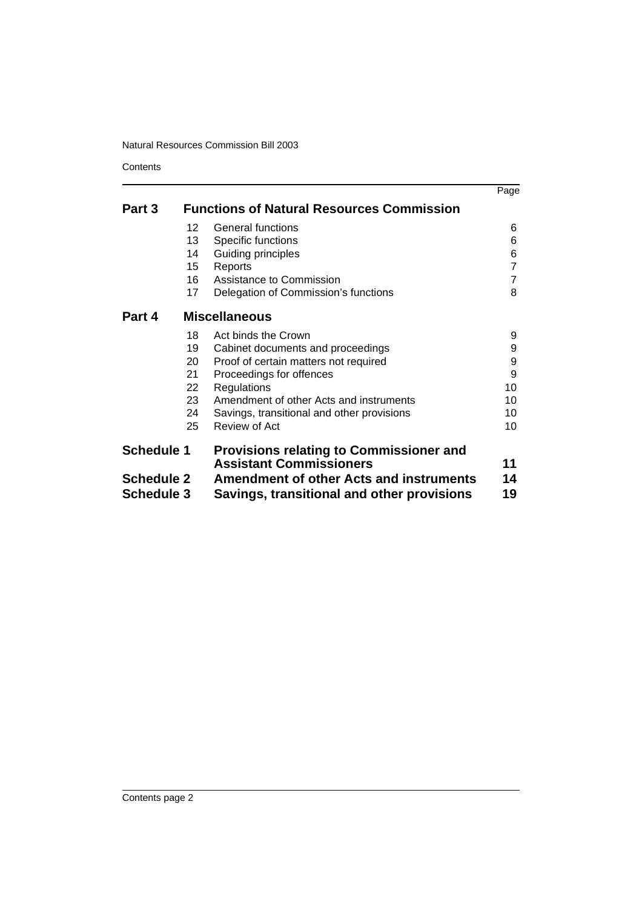**Contents** 

|                   |                                                  |                                                                                  | Page           |  |
|-------------------|--------------------------------------------------|----------------------------------------------------------------------------------|----------------|--|
| Part 3            | <b>Functions of Natural Resources Commission</b> |                                                                                  |                |  |
|                   | 12                                               | General functions                                                                | 6              |  |
|                   | 13                                               | Specific functions                                                               | 6              |  |
|                   | 14                                               | Guiding principles                                                               | 6              |  |
|                   | 15                                               | Reports                                                                          | $\overline{7}$ |  |
|                   | 16                                               | Assistance to Commission                                                         | $\overline{7}$ |  |
|                   | 17                                               | Delegation of Commission's functions                                             | 8              |  |
| Part 4            | <b>Miscellaneous</b>                             |                                                                                  |                |  |
|                   | 18                                               | Act binds the Crown                                                              | 9              |  |
|                   | 19                                               | Cabinet documents and proceedings                                                | 9              |  |
|                   | 20                                               | Proof of certain matters not required                                            | 9              |  |
|                   | 21                                               | Proceedings for offences                                                         | 9              |  |
|                   | 22                                               | Regulations                                                                      | 10             |  |
|                   | 23                                               | Amendment of other Acts and instruments                                          | 10             |  |
|                   | 24                                               | Savings, transitional and other provisions                                       | 10             |  |
|                   | 25                                               | Review of Act                                                                    | 10             |  |
| <b>Schedule 1</b> |                                                  | <b>Provisions relating to Commissioner and</b><br><b>Assistant Commissioners</b> | 11             |  |
| <b>Schedule 2</b> |                                                  | <b>Amendment of other Acts and instruments</b>                                   |                |  |
| <b>Schedule 3</b> |                                                  | Savings, transitional and other provisions                                       | 14<br>19       |  |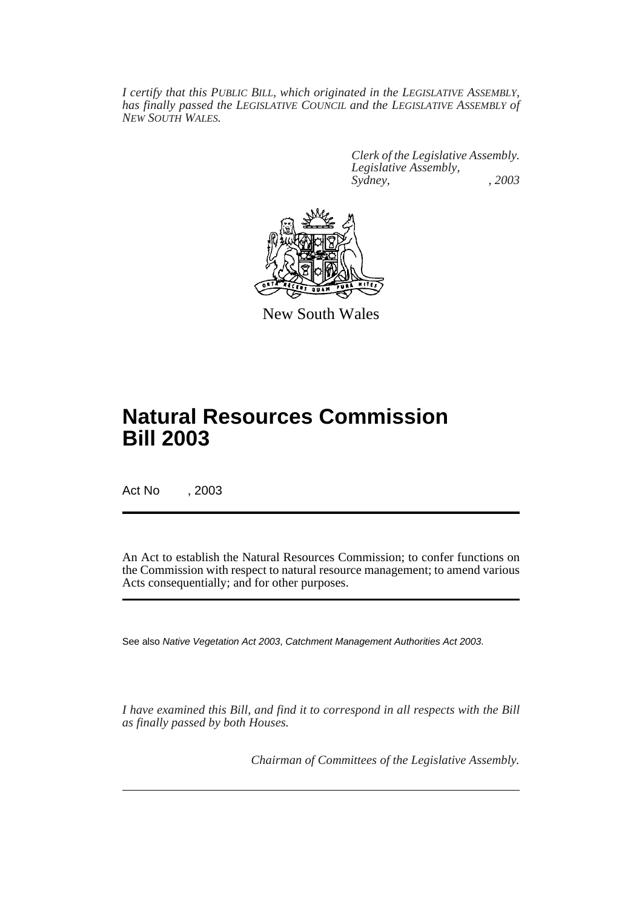*I certify that this PUBLIC BILL, which originated in the LEGISLATIVE ASSEMBLY, has finally passed the LEGISLATIVE COUNCIL and the LEGISLATIVE ASSEMBLY of NEW SOUTH WALES.*

> *Clerk of the Legislative Assembly. Legislative Assembly, Sydney, , 2003*



New South Wales

# **Natural Resources Commission Bill 2003**

Act No , 2003

An Act to establish the Natural Resources Commission; to confer functions on the Commission with respect to natural resource management; to amend various Acts consequentially; and for other purposes.

See also Native Vegetation Act 2003, Catchment Management Authorities Act 2003.

*I have examined this Bill, and find it to correspond in all respects with the Bill as finally passed by both Houses.*

*Chairman of Committees of the Legislative Assembly.*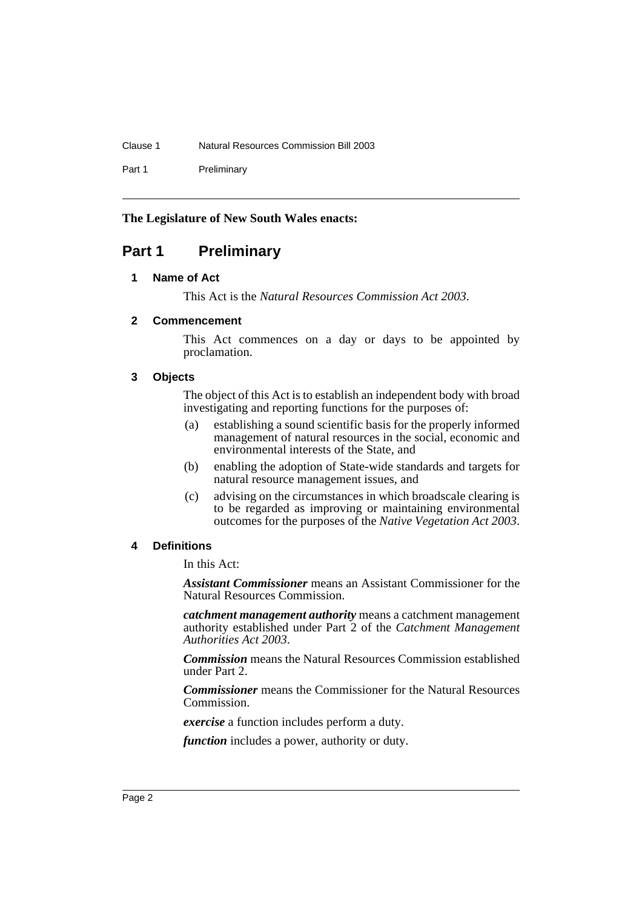Clause 1 Natural Resources Commission Bill 2003

Part 1 Preliminary

## **The Legislature of New South Wales enacts:**

# <span id="page-3-1"></span><span id="page-3-0"></span>**Part 1 Preliminary**

### **1 Name of Act**

This Act is the *Natural Resources Commission Act 2003*.

# <span id="page-3-2"></span>**2 Commencement**

This Act commences on a day or days to be appointed by proclamation.

## <span id="page-3-3"></span>**3 Objects**

The object of this Act is to establish an independent body with broad investigating and reporting functions for the purposes of:

- (a) establishing a sound scientific basis for the properly informed management of natural resources in the social, economic and environmental interests of the State, and
- (b) enabling the adoption of State-wide standards and targets for natural resource management issues, and
- (c) advising on the circumstances in which broadscale clearing is to be regarded as improving or maintaining environmental outcomes for the purposes of the *Native Vegetation Act 2003*.

# <span id="page-3-4"></span>**4 Definitions**

In this Act:

*Assistant Commissioner* means an Assistant Commissioner for the Natural Resources Commission.

*catchment management authority* means a catchment management authority established under Part 2 of the *Catchment Management Authorities Act 2003*.

*Commission* means the Natural Resources Commission established under Part 2.

*Commissioner* means the Commissioner for the Natural Resources Commission.

*exercise* a function includes perform a duty.

*function* includes a power, authority or duty.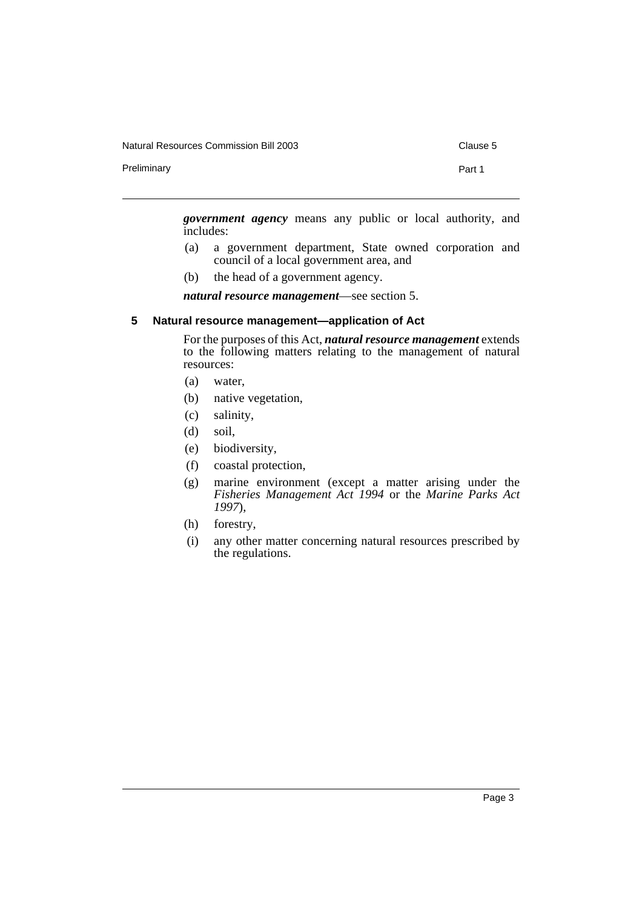Natural Resources Commission Bill 2003 Clause 5

Preliminary **Preliminary** Part 1

*government agency* means any public or local authority, and includes:

- (a) a government department, State owned corporation and council of a local government area, and
- (b) the head of a government agency.

*natural resource management*—see section 5.

### <span id="page-4-0"></span>**5 Natural resource management—application of Act**

For the purposes of this Act, *natural resource management* extends to the following matters relating to the management of natural resources:

- (a) water,
- (b) native vegetation,
- (c) salinity,
- (d) soil,
- (e) biodiversity,
- (f) coastal protection,
- (g) marine environment (except a matter arising under the *Fisheries Management Act 1994* or the *Marine Parks Act 1997*),
- (h) forestry,
- (i) any other matter concerning natural resources prescribed by the regulations.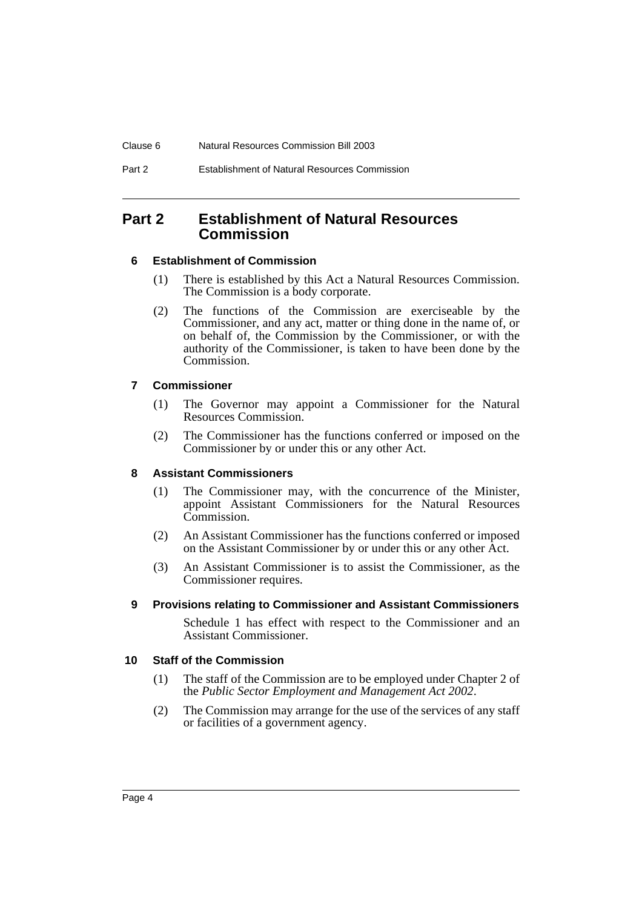# <span id="page-5-0"></span>**Part 2 Establishment of Natural Resources Commission**

## <span id="page-5-1"></span>**6 Establishment of Commission**

- (1) There is established by this Act a Natural Resources Commission. The Commission is a body corporate.
- (2) The functions of the Commission are exerciseable by the Commissioner, and any act, matter or thing done in the name of, or on behalf of, the Commission by the Commissioner, or with the authority of the Commissioner, is taken to have been done by the Commission.

## <span id="page-5-2"></span>**7 Commissioner**

- (1) The Governor may appoint a Commissioner for the Natural Resources Commission.
- (2) The Commissioner has the functions conferred or imposed on the Commissioner by or under this or any other Act.

### <span id="page-5-3"></span>**8 Assistant Commissioners**

- (1) The Commissioner may, with the concurrence of the Minister, appoint Assistant Commissioners for the Natural Resources Commission.
- (2) An Assistant Commissioner has the functions conferred or imposed on the Assistant Commissioner by or under this or any other Act.
- (3) An Assistant Commissioner is to assist the Commissioner, as the Commissioner requires.

### <span id="page-5-4"></span>**9 Provisions relating to Commissioner and Assistant Commissioners**

Schedule 1 has effect with respect to the Commissioner and an Assistant Commissioner.

### <span id="page-5-5"></span>**10 Staff of the Commission**

- (1) The staff of the Commission are to be employed under Chapter 2 of the *Public Sector Employment and Management Act 2002*.
- (2) The Commission may arrange for the use of the services of any staff or facilities of a government agency.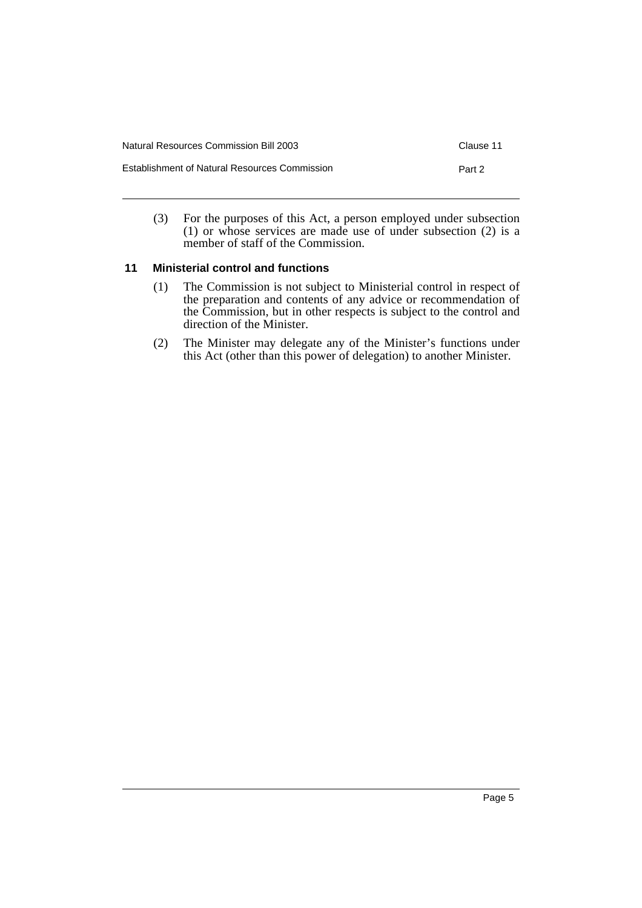| <b>Natural Resources Commission Bill 2003</b> | Clause 11 |
|-----------------------------------------------|-----------|
| Establishment of Natural Resources Commission | Part 2    |

(3) For the purposes of this Act, a person employed under subsection (1) or whose services are made use of under subsection (2) is a member of staff of the Commission.

## <span id="page-6-0"></span>**11 Ministerial control and functions**

- (1) The Commission is not subject to Ministerial control in respect of the preparation and contents of any advice or recommendation of the Commission, but in other respects is subject to the control and direction of the Minister.
- (2) The Minister may delegate any of the Minister's functions under this Act (other than this power of delegation) to another Minister.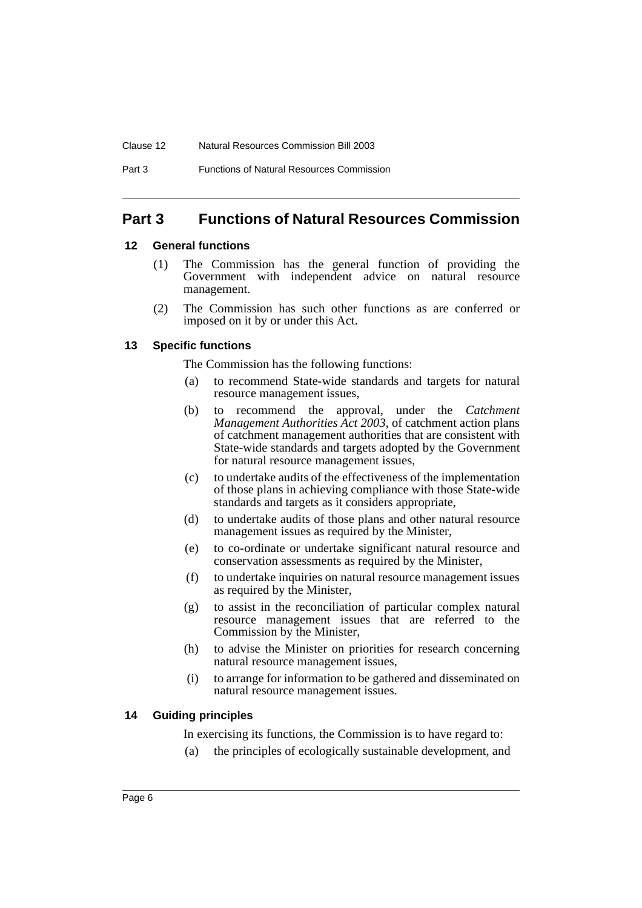#### Clause 12 Natural Resources Commission Bill 2003

#### Part 3 Functions of Natural Resources Commission

# <span id="page-7-0"></span>**Part 3 Functions of Natural Resources Commission**

#### <span id="page-7-1"></span>**12 General functions**

- (1) The Commission has the general function of providing the Government with independent advice on natural resource management.
- (2) The Commission has such other functions as are conferred or imposed on it by or under this Act.

#### <span id="page-7-2"></span>**13 Specific functions**

The Commission has the following functions:

- (a) to recommend State-wide standards and targets for natural resource management issues,
- (b) to recommend the approval, under the *Catchment Management Authorities Act 2003*, of catchment action plans of catchment management authorities that are consistent with State-wide standards and targets adopted by the Government for natural resource management issues,
- (c) to undertake audits of the effectiveness of the implementation of those plans in achieving compliance with those State-wide standards and targets as it considers appropriate,
- (d) to undertake audits of those plans and other natural resource management issues as required by the Minister,
- (e) to co-ordinate or undertake significant natural resource and conservation assessments as required by the Minister,
- (f) to undertake inquiries on natural resource management issues as required by the Minister,
- (g) to assist in the reconciliation of particular complex natural resource management issues that are referred to the Commission by the Minister,
- (h) to advise the Minister on priorities for research concerning natural resource management issues,
- (i) to arrange for information to be gathered and disseminated on natural resource management issues.

### <span id="page-7-3"></span>**14 Guiding principles**

In exercising its functions, the Commission is to have regard to:

(a) the principles of ecologically sustainable development, and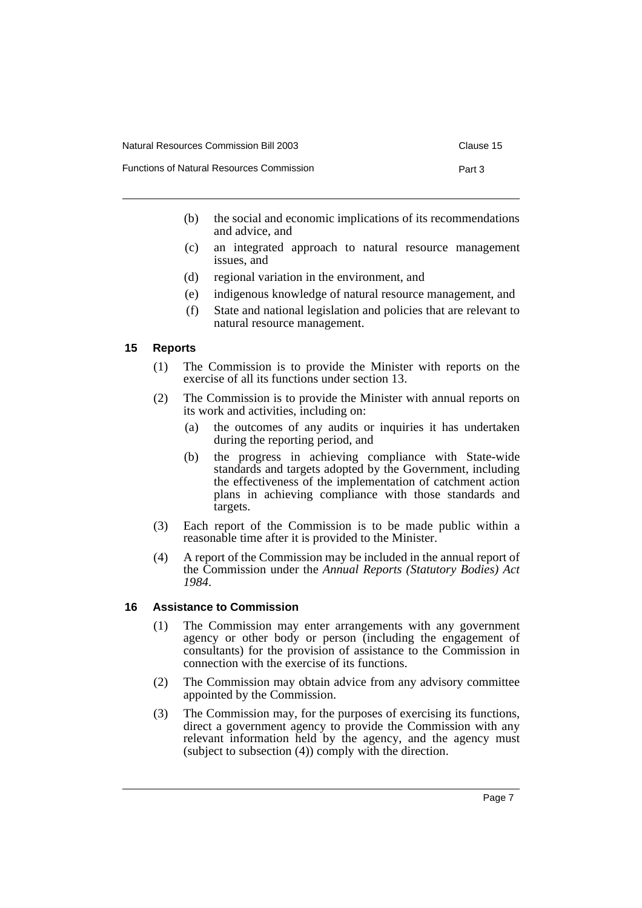- Functions of Natural Resources Commission **Part 3** Part 3
- - (b) the social and economic implications of its recommendations and advice, and
	- (c) an integrated approach to natural resource management issues, and
	- (d) regional variation in the environment, and
	- (e) indigenous knowledge of natural resource management, and
	- (f) State and national legislation and policies that are relevant to natural resource management.

### <span id="page-8-0"></span>**15 Reports**

- (1) The Commission is to provide the Minister with reports on the exercise of all its functions under section 13.
- (2) The Commission is to provide the Minister with annual reports on its work and activities, including on:
	- (a) the outcomes of any audits or inquiries it has undertaken during the reporting period, and
	- (b) the progress in achieving compliance with State-wide standards and targets adopted by the Government, including the effectiveness of the implementation of catchment action plans in achieving compliance with those standards and targets.
- (3) Each report of the Commission is to be made public within a reasonable time after it is provided to the Minister.
- (4) A report of the Commission may be included in the annual report of the Commission under the *Annual Reports (Statutory Bodies) Act 1984*.

### <span id="page-8-1"></span>**16 Assistance to Commission**

- (1) The Commission may enter arrangements with any government agency or other body or person (including the engagement of consultants) for the provision of assistance to the Commission in connection with the exercise of its functions.
- (2) The Commission may obtain advice from any advisory committee appointed by the Commission.
- (3) The Commission may, for the purposes of exercising its functions, direct a government agency to provide the Commission with any relevant information held by the agency, and the agency must (subject to subsection (4)) comply with the direction.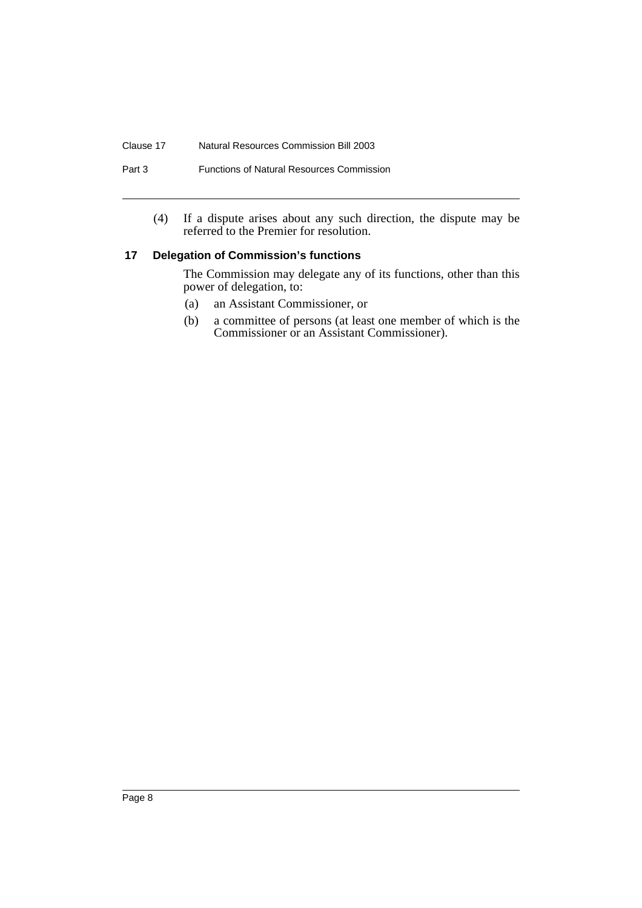#### Clause 17 Natural Resources Commission Bill 2003

### Part 3 Functions of Natural Resources Commission

(4) If a dispute arises about any such direction, the dispute may be referred to the Premier for resolution.

### <span id="page-9-0"></span>**17 Delegation of Commission's functions**

The Commission may delegate any of its functions, other than this power of delegation, to:

- (a) an Assistant Commissioner, or
- (b) a committee of persons (at least one member of which is the Commissioner or an Assistant Commissioner).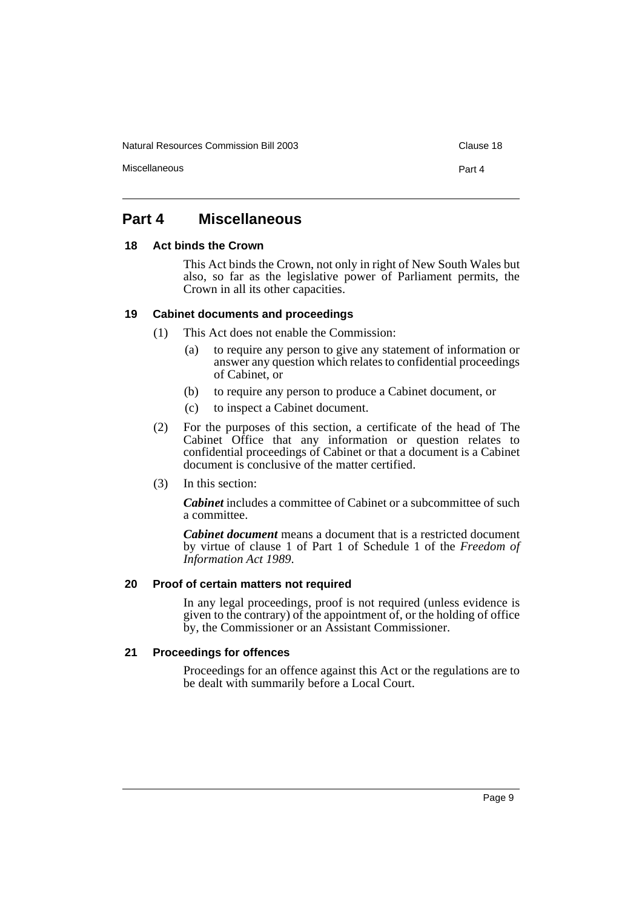Natural Resources Commission Bill 2003 Clause 18

Miscellaneous Part 4

# <span id="page-10-0"></span>**Part 4 Miscellaneous**

### <span id="page-10-1"></span>**18 Act binds the Crown**

This Act binds the Crown, not only in right of New South Wales but also, so far as the legislative power of Parliament permits, the Crown in all its other capacities.

### <span id="page-10-2"></span>**19 Cabinet documents and proceedings**

- (1) This Act does not enable the Commission:
	- (a) to require any person to give any statement of information or answer any question which relates to confidential proceedings of Cabinet, or
	- (b) to require any person to produce a Cabinet document, or
	- (c) to inspect a Cabinet document.
- (2) For the purposes of this section, a certificate of the head of The Cabinet Office that any information or question relates to confidential proceedings of Cabinet or that a document is a Cabinet document is conclusive of the matter certified.
- (3) In this section:

*Cabinet* includes a committee of Cabinet or a subcommittee of such a committee.

*Cabinet document* means a document that is a restricted document by virtue of clause 1 of Part 1 of Schedule 1 of the *Freedom of Information Act 1989*.

### <span id="page-10-3"></span>**20 Proof of certain matters not required**

In any legal proceedings, proof is not required (unless evidence is given to the contrary) of the appointment of, or the holding of office by, the Commissioner or an Assistant Commissioner.

### <span id="page-10-4"></span>**21 Proceedings for offences**

Proceedings for an offence against this Act or the regulations are to be dealt with summarily before a Local Court.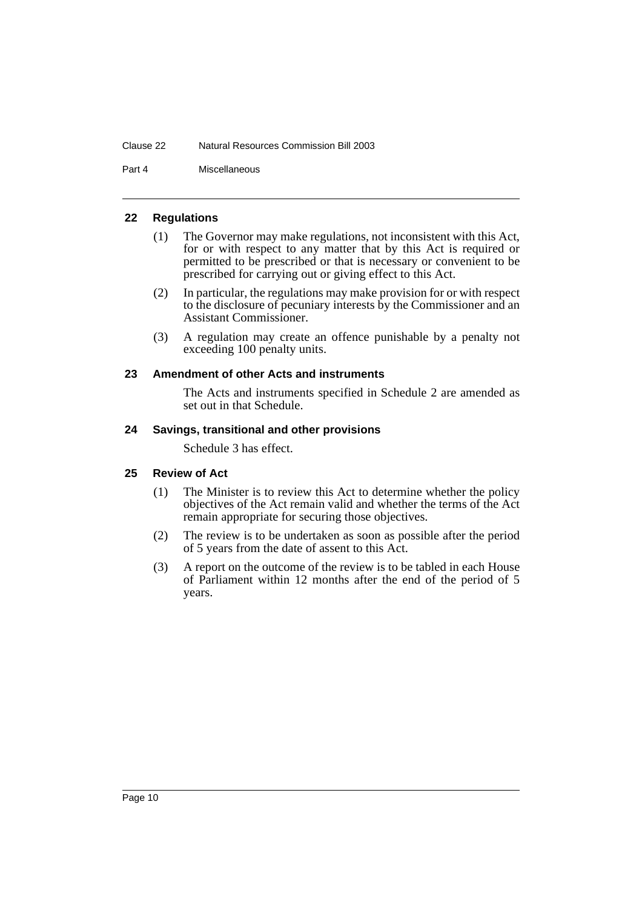#### Clause 22 Natural Resources Commission Bill 2003

Part 4 Miscellaneous

### <span id="page-11-0"></span>**22 Regulations**

- (1) The Governor may make regulations, not inconsistent with this Act, for or with respect to any matter that by this Act is required or permitted to be prescribed or that is necessary or convenient to be prescribed for carrying out or giving effect to this Act.
- (2) In particular, the regulations may make provision for or with respect to the disclosure of pecuniary interests by the Commissioner and an Assistant Commissioner.
- (3) A regulation may create an offence punishable by a penalty not exceeding 100 penalty units.

### <span id="page-11-1"></span>**23 Amendment of other Acts and instruments**

The Acts and instruments specified in Schedule 2 are amended as set out in that Schedule.

### <span id="page-11-2"></span>**24 Savings, transitional and other provisions**

Schedule 3 has effect.

### <span id="page-11-3"></span>**25 Review of Act**

- (1) The Minister is to review this Act to determine whether the policy objectives of the Act remain valid and whether the terms of the Act remain appropriate for securing those objectives.
- (2) The review is to be undertaken as soon as possible after the period of 5 years from the date of assent to this Act.
- (3) A report on the outcome of the review is to be tabled in each House of Parliament within 12 months after the end of the period of 5 years.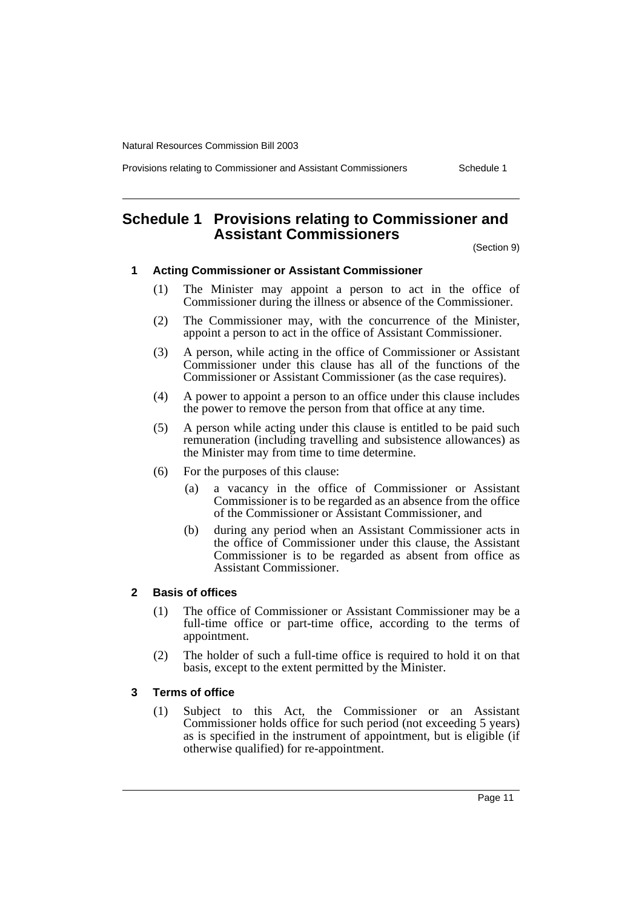Provisions relating to Commissioner and Assistant Commissioners Schedule 1

# <span id="page-12-0"></span>**Schedule 1 Provisions relating to Commissioner and Assistant Commissioners**

(Section 9)

#### **1 Acting Commissioner or Assistant Commissioner**

- (1) The Minister may appoint a person to act in the office of Commissioner during the illness or absence of the Commissioner.
- (2) The Commissioner may, with the concurrence of the Minister, appoint a person to act in the office of Assistant Commissioner.
- (3) A person, while acting in the office of Commissioner or Assistant Commissioner under this clause has all of the functions of the Commissioner or Assistant Commissioner (as the case requires).
- (4) A power to appoint a person to an office under this clause includes the power to remove the person from that office at any time.
- (5) A person while acting under this clause is entitled to be paid such remuneration (including travelling and subsistence allowances) as the Minister may from time to time determine.
- (6) For the purposes of this clause:
	- (a) a vacancy in the office of Commissioner or Assistant Commissioner is to be regarded as an absence from the office of the Commissioner or Assistant Commissioner, and
	- (b) during any period when an Assistant Commissioner acts in the office of Commissioner under this clause, the Assistant Commissioner is to be regarded as absent from office as Assistant Commissioner.

### **2 Basis of offices**

- (1) The office of Commissioner or Assistant Commissioner may be a full-time office or part-time office, according to the terms of appointment.
- (2) The holder of such a full-time office is required to hold it on that basis, except to the extent permitted by the Minister.

### **3 Terms of office**

(1) Subject to this Act, the Commissioner or an Assistant Commissioner holds office for such period (not exceeding 5 years) as is specified in the instrument of appointment, but is eligible (if otherwise qualified) for re-appointment.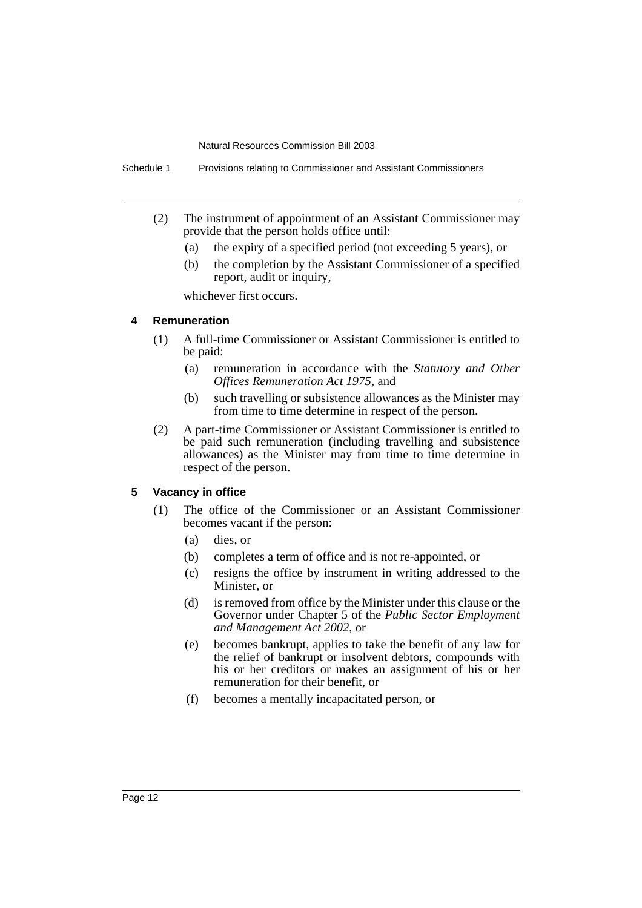Schedule 1 Provisions relating to Commissioner and Assistant Commissioners

- (2) The instrument of appointment of an Assistant Commissioner may provide that the person holds office until:
	- (a) the expiry of a specified period (not exceeding 5 years), or
	- (b) the completion by the Assistant Commissioner of a specified report, audit or inquiry,

whichever first occurs.

### **4 Remuneration**

- (1) A full-time Commissioner or Assistant Commissioner is entitled to be paid:
	- (a) remuneration in accordance with the *Statutory and Other Offices Remuneration Act 1975*, and
	- (b) such travelling or subsistence allowances as the Minister may from time to time determine in respect of the person.
- (2) A part-time Commissioner or Assistant Commissioner is entitled to be paid such remuneration (including travelling and subsistence allowances) as the Minister may from time to time determine in respect of the person.

### **5 Vacancy in office**

- (1) The office of the Commissioner or an Assistant Commissioner becomes vacant if the person:
	- (a) dies, or
	- (b) completes a term of office and is not re-appointed, or
	- (c) resigns the office by instrument in writing addressed to the Minister, or
	- (d) is removed from office by the Minister under this clause or the Governor under Chapter 5 of the *Public Sector Employment and Management Act 2002*, or
	- (e) becomes bankrupt, applies to take the benefit of any law for the relief of bankrupt or insolvent debtors, compounds with his or her creditors or makes an assignment of his or her remuneration for their benefit, or
	- (f) becomes a mentally incapacitated person, or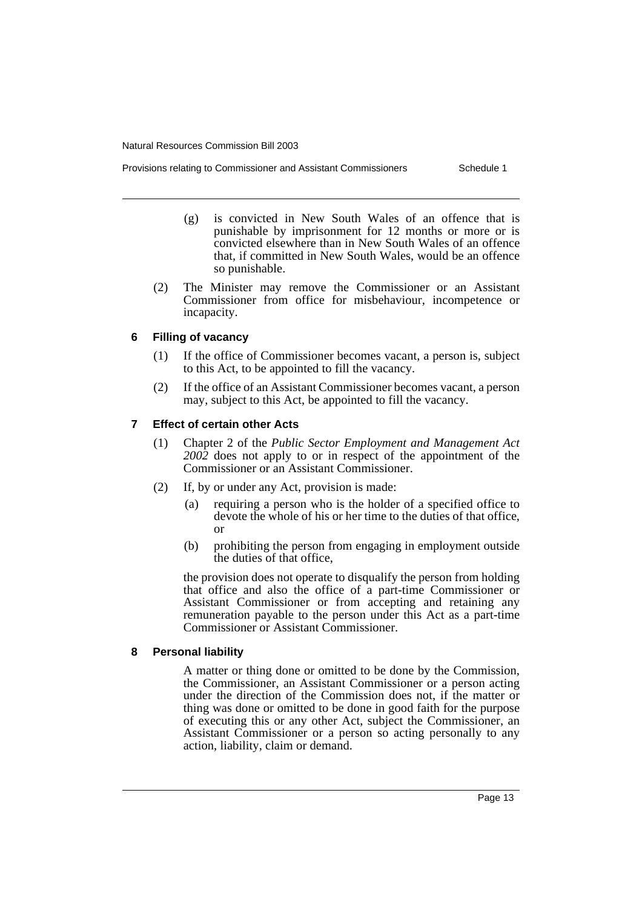- Provisions relating to Commissioner and Assistant Commissioners Schedule 1
	- (g) is convicted in New South Wales of an offence that is punishable by imprisonment for 12 months or more or is convicted elsewhere than in New South Wales of an offence that, if committed in New South Wales, would be an offence so punishable.
	- (2) The Minister may remove the Commissioner or an Assistant Commissioner from office for misbehaviour, incompetence or incapacity.

# **6 Filling of vacancy**

- (1) If the office of Commissioner becomes vacant, a person is, subject to this Act, to be appointed to fill the vacancy.
- (2) If the office of an Assistant Commissioner becomes vacant, a person may, subject to this Act, be appointed to fill the vacancy.

# **7 Effect of certain other Acts**

- (1) Chapter 2 of the *Public Sector Employment and Management Act 2002* does not apply to or in respect of the appointment of the Commissioner or an Assistant Commissioner.
- (2) If, by or under any Act, provision is made:
	- (a) requiring a person who is the holder of a specified office to devote the whole of his or her time to the duties of that office, or
	- (b) prohibiting the person from engaging in employment outside the duties of that office,

the provision does not operate to disqualify the person from holding that office and also the office of a part-time Commissioner or Assistant Commissioner or from accepting and retaining any remuneration payable to the person under this Act as a part-time Commissioner or Assistant Commissioner.

# **8 Personal liability**

A matter or thing done or omitted to be done by the Commission, the Commissioner, an Assistant Commissioner or a person acting under the direction of the Commission does not, if the matter or thing was done or omitted to be done in good faith for the purpose of executing this or any other Act, subject the Commissioner, an Assistant Commissioner or a person so acting personally to any action, liability, claim or demand.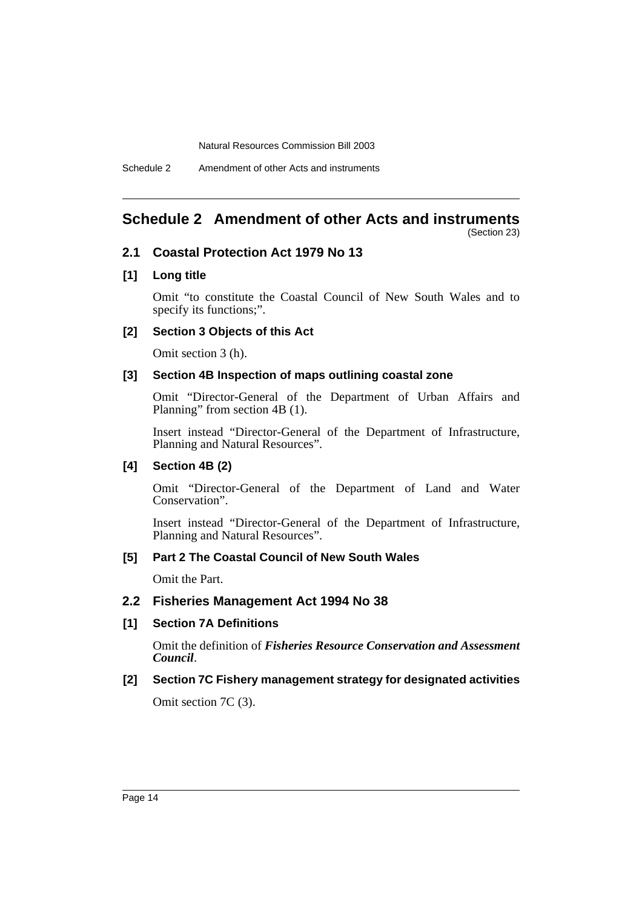# <span id="page-15-0"></span>**Schedule 2 Amendment of other Acts and instruments**

(Section 23)

# **2.1 Coastal Protection Act 1979 No 13**

### **[1] Long title**

Omit "to constitute the Coastal Council of New South Wales and to specify its functions;".

### **[2] Section 3 Objects of this Act**

Omit section 3 (h).

### **[3] Section 4B Inspection of maps outlining coastal zone**

Omit "Director-General of the Department of Urban Affairs and Planning" from section 4B (1).

Insert instead "Director-General of the Department of Infrastructure, Planning and Natural Resources".

### **[4] Section 4B (2)**

Omit "Director-General of the Department of Land and Water Conservation".

Insert instead "Director-General of the Department of Infrastructure, Planning and Natural Resources".

### **[5] Part 2 The Coastal Council of New South Wales**

Omit the Part.

### **2.2 Fisheries Management Act 1994 No 38**

### **[1] Section 7A Definitions**

Omit the definition of *Fisheries Resource Conservation and Assessment Council*.

### **[2] Section 7C Fishery management strategy for designated activities**

Omit section 7C (3).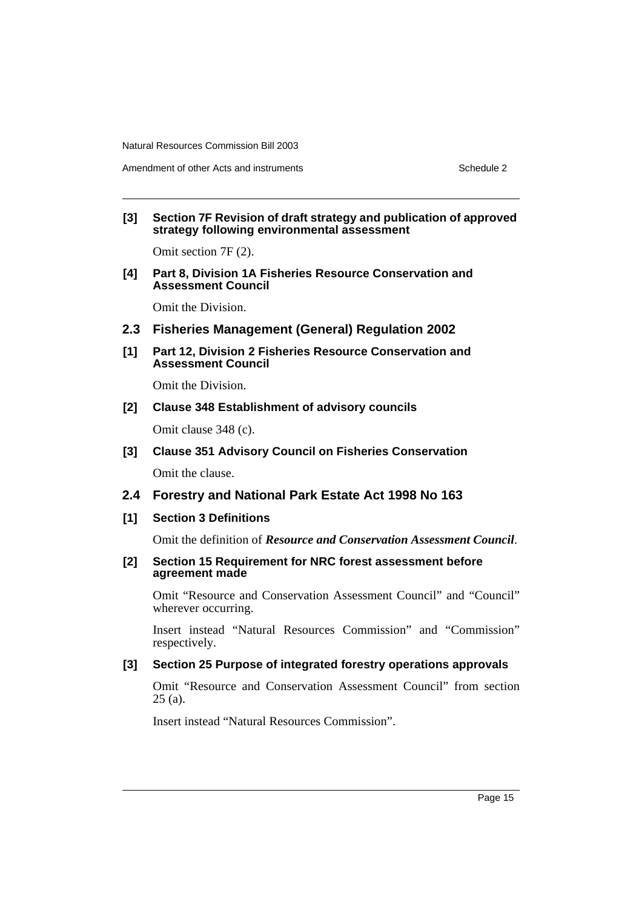### **[3] Section 7F Revision of draft strategy and publication of approved strategy following environmental assessment**

Omit section 7F (2).

**[4] Part 8, Division 1A Fisheries Resource Conservation and Assessment Council**

Omit the Division.

- **2.3 Fisheries Management (General) Regulation 2002**
- **[1] Part 12, Division 2 Fisheries Resource Conservation and Assessment Council**

Omit the Division.

### **[2] Clause 348 Establishment of advisory councils**

Omit clause 348 (c).

- **[3] Clause 351 Advisory Council on Fisheries Conservation** Omit the clause.
- **2.4 Forestry and National Park Estate Act 1998 No 163**
- **[1] Section 3 Definitions**

Omit the definition of *Resource and Conservation Assessment Council*.

### **[2] Section 15 Requirement for NRC forest assessment before agreement made**

Omit "Resource and Conservation Assessment Council" and "Council" wherever occurring.

Insert instead "Natural Resources Commission" and "Commission" respectively.

# **[3] Section 25 Purpose of integrated forestry operations approvals**

Omit "Resource and Conservation Assessment Council" from section 25 (a).

Insert instead "Natural Resources Commission".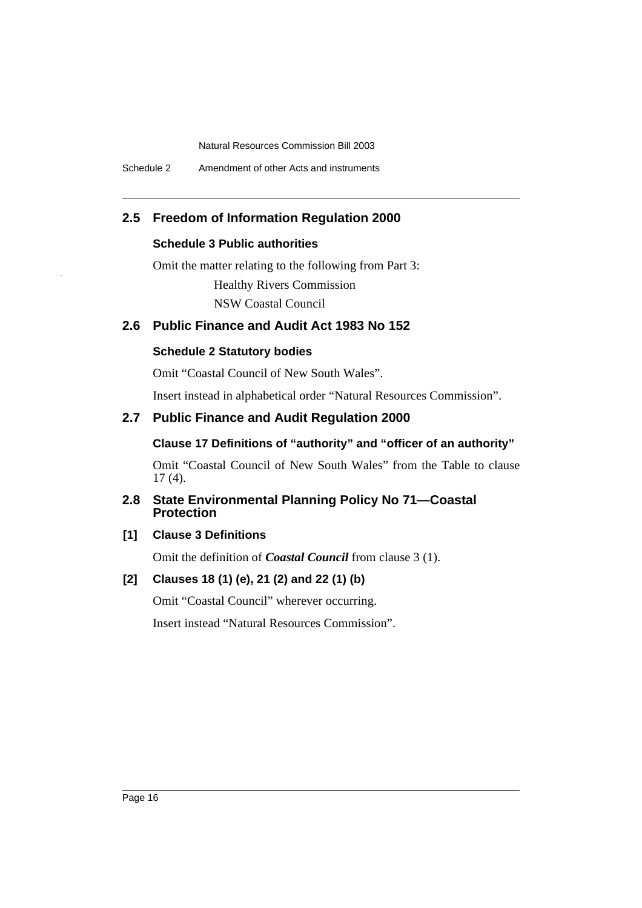# **2.5 Freedom of Information Regulation 2000**

# **Schedule 3 Public authorities**

Omit the matter relating to the following from Part 3: Healthy Rivers Commission

NSW Coastal Council

# **2.6 Public Finance and Audit Act 1983 No 152**

## **Schedule 2 Statutory bodies**

Omit "Coastal Council of New South Wales".

Insert instead in alphabetical order "Natural Resources Commission".

# **2.7 Public Finance and Audit Regulation 2000**

## **Clause 17 Definitions of "authority" and "officer of an authority"**

Omit "Coastal Council of New South Wales" from the Table to clause 17 (4).

# **2.8 State Environmental Planning Policy No 71—Coastal Protection**

# **[1] Clause 3 Definitions**

Omit the definition of *Coastal Council* from clause 3 (1).

# **[2] Clauses 18 (1) (e), 21 (2) and 22 (1) (b)**

Omit "Coastal Council" wherever occurring.

Insert instead "Natural Resources Commission".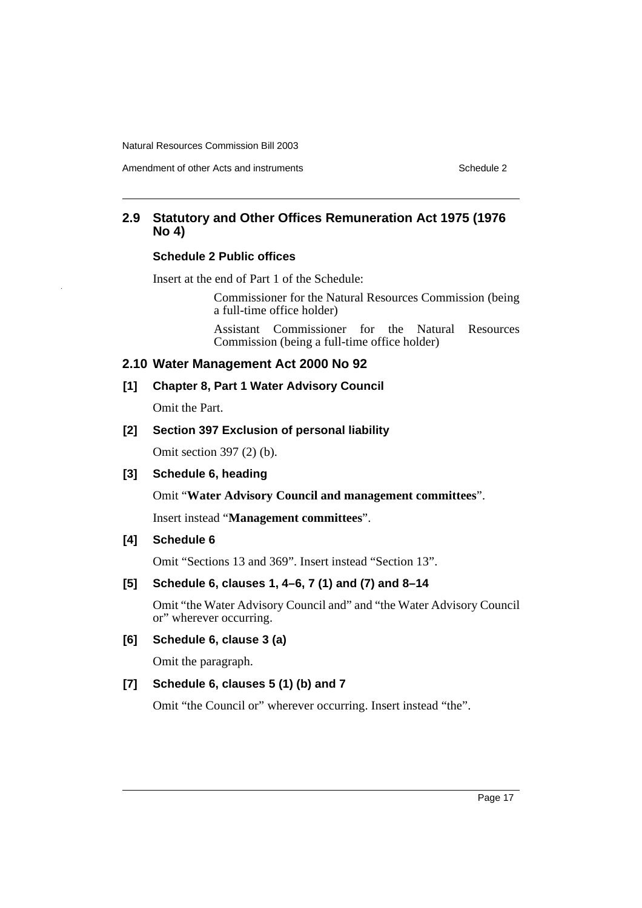Amendment of other Acts and instruments **Schedule 2** Schedule 2

# **2.9 Statutory and Other Offices Remuneration Act 1975 (1976 No 4)**

# **Schedule 2 Public offices**

Insert at the end of Part 1 of the Schedule:

Commissioner for the Natural Resources Commission (being a full-time office holder)

Assistant Commissioner for the Natural Resources Commission (being a full-time office holder)

# **2.10 Water Management Act 2000 No 92**

**[1] Chapter 8, Part 1 Water Advisory Council**

Omit the Part.

## **[2] Section 397 Exclusion of personal liability**

Omit section 397 (2) (b).

# **[3] Schedule 6, heading**

Omit "**Water Advisory Council and management committees**".

Insert instead "**Management committees**".

# **[4] Schedule 6**

Omit "Sections 13 and 369". Insert instead "Section 13".

# **[5] Schedule 6, clauses 1, 4–6, 7 (1) and (7) and 8–14**

Omit "the Water Advisory Council and" and "the Water Advisory Council or" wherever occurring.

# **[6] Schedule 6, clause 3 (a)**

Omit the paragraph.

# **[7] Schedule 6, clauses 5 (1) (b) and 7**

Omit "the Council or" wherever occurring. Insert instead "the".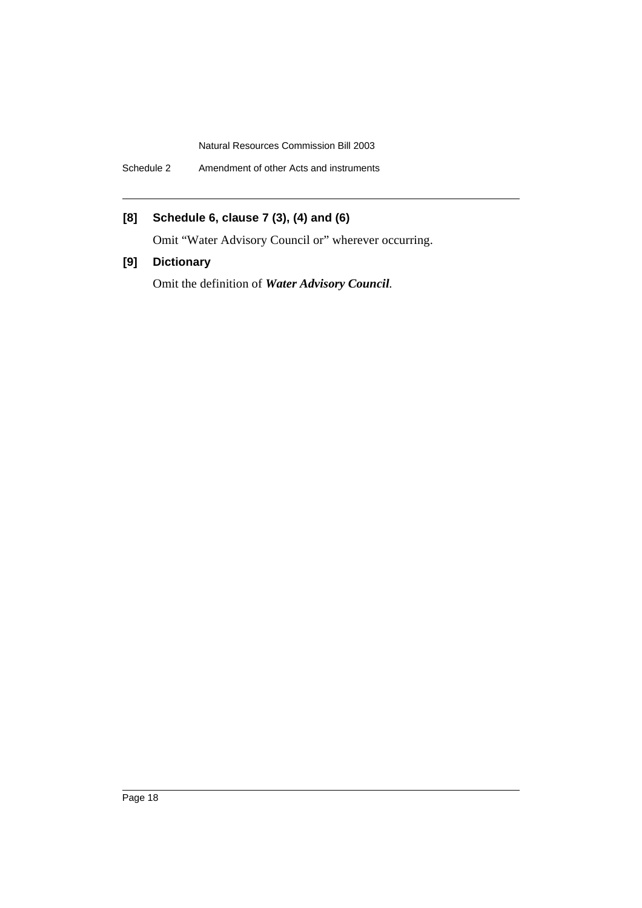Schedule 2 Amendment of other Acts and instruments

# **[8] Schedule 6, clause 7 (3), (4) and (6)**

Omit "Water Advisory Council or" wherever occurring.

# **[9] Dictionary**

Omit the definition of *Water Advisory Council*.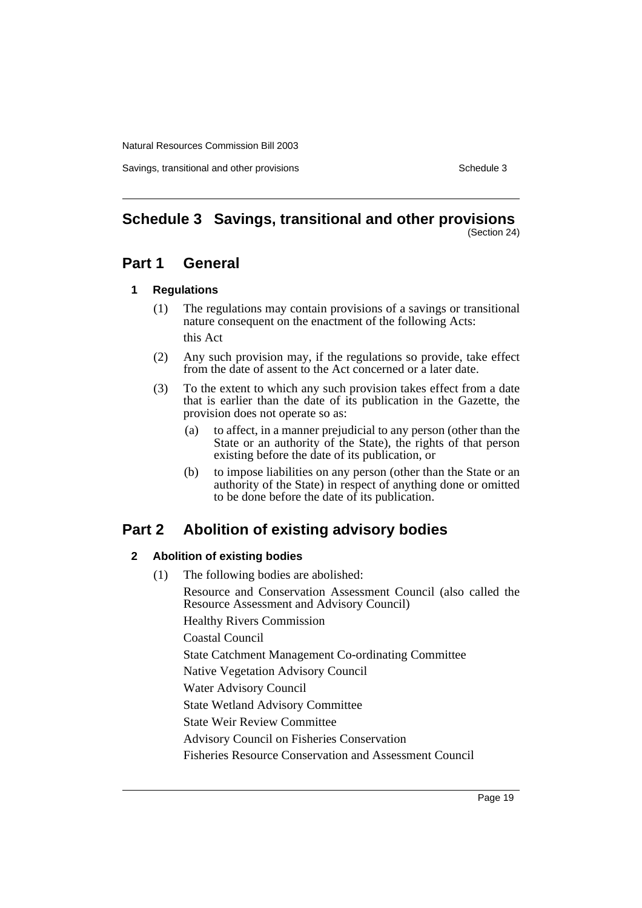Savings, transitional and other provisions Schedule 3

#### <span id="page-20-0"></span>**Schedule 3 Savings, transitional and other provisions** (Section 24)

# **Part 1 General**

### **1 Regulations**

- (1) The regulations may contain provisions of a savings or transitional nature consequent on the enactment of the following Acts: this Act
- (2) Any such provision may, if the regulations so provide, take effect from the date of assent to the Act concerned or a later date.
- (3) To the extent to which any such provision takes effect from a date that is earlier than the date of its publication in the Gazette, the provision does not operate so as:
	- (a) to affect, in a manner prejudicial to any person (other than the State or an authority of the State), the rights of that person existing before the date of its publication, or
	- (b) to impose liabilities on any person (other than the State or an authority of the State) in respect of anything done or omitted to be done before the date of its publication.

# **Part 2 Abolition of existing advisory bodies**

# **2 Abolition of existing bodies**

(1) The following bodies are abolished: Resource and Conservation Assessment Council (also called the Resource Assessment and Advisory Council) Healthy Rivers Commission Coastal Council State Catchment Management Co-ordinating Committee Native Vegetation Advisory Council Water Advisory Council State Wetland Advisory Committee State Weir Review Committee Advisory Council on Fisheries Conservation Fisheries Resource Conservation and Assessment Council